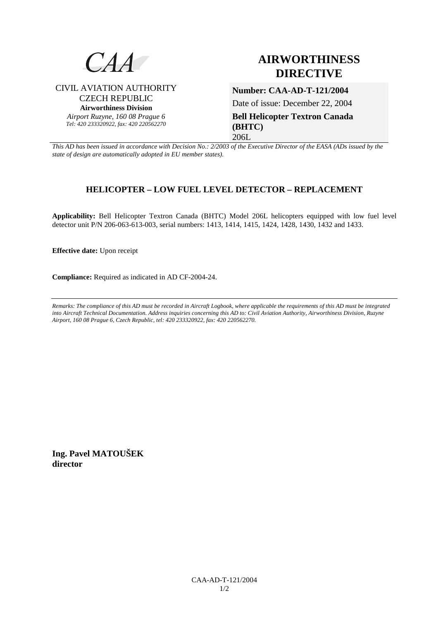

CIVIL AVIATION AUTHORITY CZECH REPUBLIC **Airworthiness Division**  *Airport Ruzyne, 160 08 Prague 6 Tel: 420 233320922, fax: 420 220562270*

# **AIRWORTHINESS DIRECTIVE**

**Number: CAA-AD-T-121/2004** 

Date of issue: December 22, 2004

**Bell Helicopter Textron Canada (BHTC)**  206L

*This AD has been issued in accordance with Decision No.: 2/2003 of the Executive Director of the EASA (ADs issued by the state of design are automatically adopted in EU member states).*

# **HELICOPTER – LOW FUEL LEVEL DETECTOR – REPLACEMENT**

**Applicability:** Bell Helicopter Textron Canada (BHTC) Model 206L helicopters equipped with low fuel level detector unit P/N 206-063-613-003, serial numbers: 1413, 1414, 1415, 1424, 1428, 1430, 1432 and 1433.

**Effective date:** Upon receipt

**Compliance:** Required as indicated in AD CF-2004-24.

*Remarks: The compliance of this AD must be recorded in Aircraft Logbook, where applicable the requirements of this AD must be integrated into Aircraft Technical Documentation. Address inquiries concerning this AD to: Civil Aviation Authority, Airworthiness Division, Ruzyne Airport, 160 08 Prague 6, Czech Republic, tel: 420 233320922, fax: 420 220562270.* 

**Ing. Pavel MATOUŠEK director**